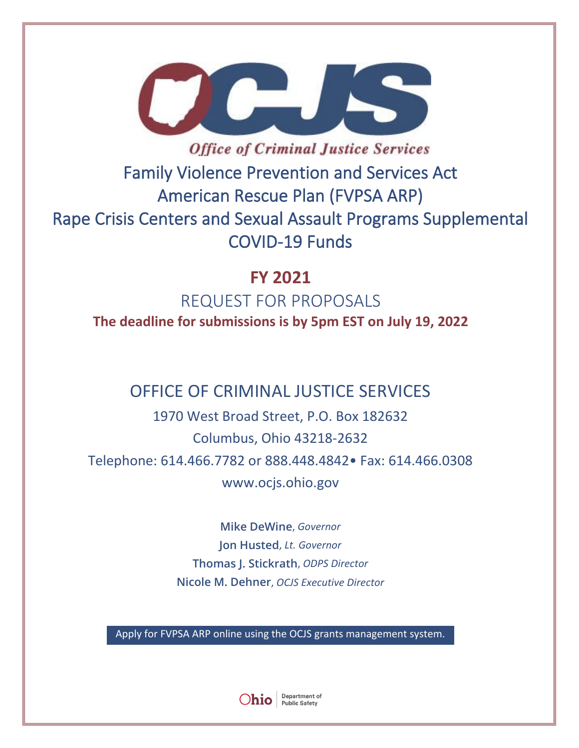

**Office of Criminal Justice Services** Family Violence Prevention and Services Act American Rescue Plan (FVPSA ARP) Rape Crisis Centers and Sexual Assault Programs Supplemental COVID-19 Funds

# **FY 2021 COVID-19 TESTING, MOBILE HEALTH UNITS ACCESS FOR PROPOSALS**

**The deadline for submissions is by 5pm EST on July 19, 2022**

# OFFICE OF CRIMINAL JUSTICE SERVICES

1970 West Broad Street, P.O. Box 182632 Columbus, Ohio 43218-2632 Telephone: 614.466.7782 or 888.448.4842• Fax: 614.466.0308 www.ocjs.ohio.gov

> **Mike DeWine**, *Governor* **Jon Husted**, *Lt. Governor* **Thomas J. Stickrath**, *ODPS Director*  **Nicole M. Dehner**, *OCJS Executive Director*

Apply for FVPSA ARP online using the OCJS grants management system.

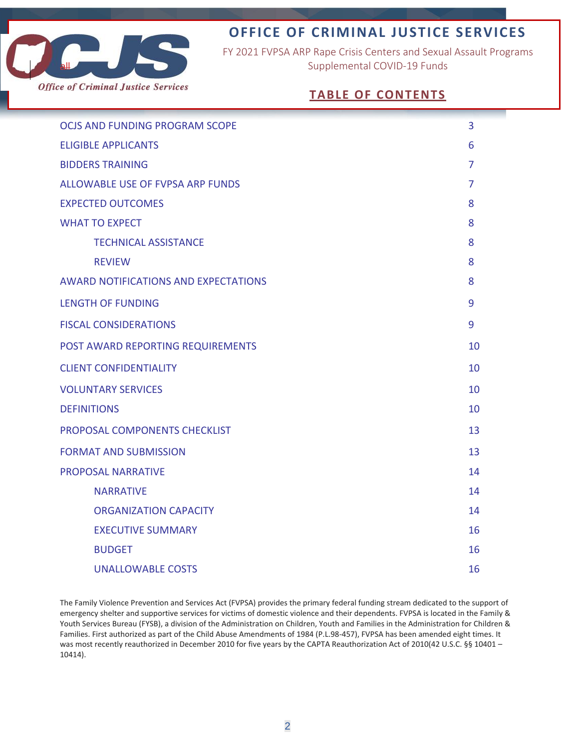

# **OFFICE OF CRIMINAL JUSTICE SERVICES**

FY 2021 FVPSA ARP Rape Crisis Centers and Sexual Assault Programs Supplemental COVID-19 Funds

# **TABLE OF CONTENTS**

| <b>OCJS AND FUNDING PROGRAM SCOPE</b>       | 3  |
|---------------------------------------------|----|
| <b>ELIGIBLE APPLICANTS</b>                  | 6  |
| <b>BIDDERS TRAINING</b>                     | 7  |
| <b>ALLOWABLE USE OF FVPSA ARP FUNDS</b>     | 7  |
| <b>EXPECTED OUTCOMES</b>                    | 8  |
| <b>WHAT TO EXPECT</b>                       | 8  |
| <b>TECHNICAL ASSISTANCE</b>                 | 8  |
| <b>REVIEW</b>                               | 8  |
| <b>AWARD NOTIFICATIONS AND EXPECTATIONS</b> | 8  |
| <b>LENGTH OF FUNDING</b>                    | 9  |
| <b>FISCAL CONSIDERATIONS</b>                | 9  |
| POST AWARD REPORTING REQUIREMENTS           | 10 |
| <b>CLIENT CONFIDENTIALITY</b>               | 10 |
| <b>VOLUNTARY SERVICES</b>                   | 10 |
| <b>DEFINITIONS</b>                          | 10 |
| PROPOSAL COMPONENTS CHECKLIST               | 13 |
| <b>FORMAT AND SUBMISSION</b>                | 13 |
| <b>PROPOSAL NARRATIVE</b>                   | 14 |
| <b>NARRATIVE</b>                            | 14 |
| <b>ORGANIZATION CAPACITY</b>                | 14 |
| <b>EXECUTIVE SUMMARY</b>                    | 16 |
| <b>BUDGET</b>                               | 16 |
| <b>UNALLOWABLE COSTS</b>                    | 16 |

The Family Violence Prevention and Services Act (FVPSA) provides the primary federal funding stream dedicated to the support of emergency shelter and supportive services for victims of domestic violence and their dependents. FVPSA is located in the Family & Youth Services Bureau (FYSB), a division of the Administration on Children, Youth and Families in the Administration for Children & Families. First authorized as part of the Child Abuse Amendments of 1984 (P.L.98-457), FVPSA has been amended eight times. It was most recently reauthorized in December 2010 for five years by the CAPTA Reauthorization Act of 2010(42 U.S.C. §§ 10401 -10414).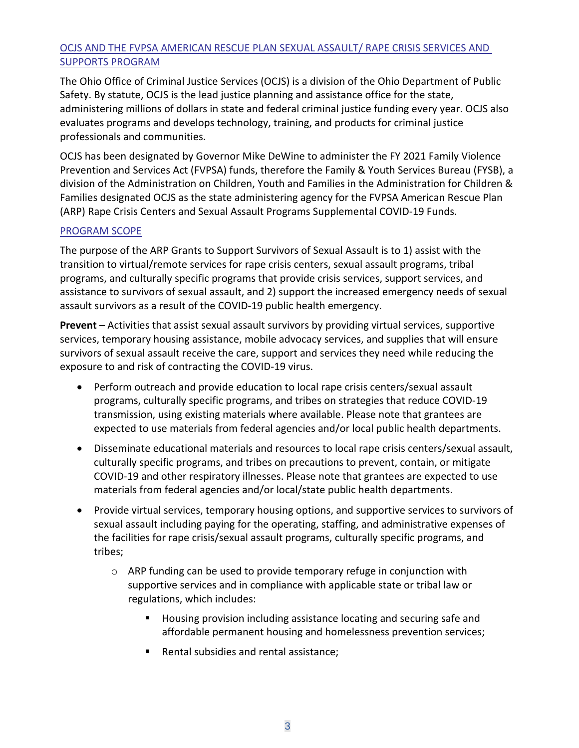## OCJS AND THE FVPSA AMERICAN RESCUE PLAN SEXUAL ASSAULT/ RAPE CRISIS SERVICES AND SUPPORTS PROGRAM

The Ohio Office of Criminal Justice Services (OCJS) is a division of the Ohio Department of Public Safety. By statute, OCJS is the lead justice planning and assistance office for the state, administering millions of dollars in state and federal criminal justice funding every year. OCJS also evaluates programs and develops technology, training, and products for criminal justice professionals and communities.

OCJS has been designated by Governor Mike DeWine to administer the FY 2021 Family Violence Prevention and Services Act (FVPSA) funds, therefore the Family & Youth Services Bureau (FYSB), a division of the Administration on Children, Youth and Families in the Administration for Children & Families designated OCJS as the state administering agency for the FVPSA American Rescue Plan (ARP) Rape Crisis Centers and Sexual Assault Programs Supplemental COVID-19 Funds.

#### PROGRAM SCOPE

The purpose of the ARP Grants to Support Survivors of Sexual Assault is to 1) assist with the transition to virtual/remote services for rape crisis centers, sexual assault programs, tribal programs, and culturally specific programs that provide crisis services, support services, and assistance to survivors of sexual assault, and 2) support the increased emergency needs of sexual assault survivors as a result of the COVID-19 public health emergency.

**Prevent** – Activities that assist sexual assault survivors by providing virtual services, supportive services, temporary housing assistance, mobile advocacy services, and supplies that will ensure survivors of sexual assault receive the care, support and services they need while reducing the exposure to and risk of contracting the COVID-19 virus.

- Perform outreach and provide education to local rape crisis centers/sexual assault programs, culturally specific programs, and tribes on strategies that reduce COVID-19 transmission, using existing materials where available. Please note that grantees are expected to use materials from federal agencies and/or local public health departments.
- Disseminate educational materials and resources to local rape crisis centers/sexual assault, culturally specific programs, and tribes on precautions to prevent, contain, or mitigate COVID-19 and other respiratory illnesses. Please note that grantees are expected to use materials from federal agencies and/or local/state public health departments.
- Provide virtual services, temporary housing options, and supportive services to survivors of sexual assault including paying for the operating, staffing, and administrative expenses of the facilities for rape crisis/sexual assault programs, culturally specific programs, and tribes;
	- $\circ$  ARP funding can be used to provide temporary refuge in conjunction with supportive services and in compliance with applicable state or tribal law or regulations, which includes:
		- Housing provision including assistance locating and securing safe and affordable permanent housing and homelessness prevention services;
		- Rental subsidies and rental assistance;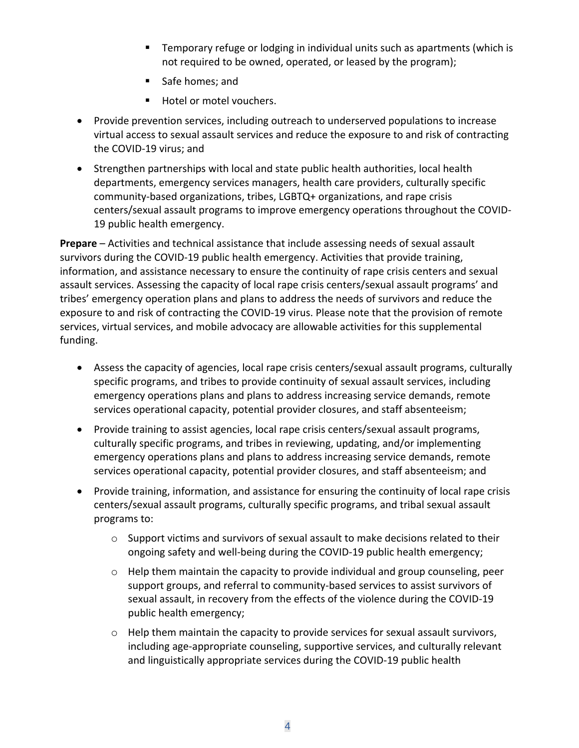- **EXECT** Temporary refuge or lodging in individual units such as apartments (which is not required to be owned, operated, or leased by the program);
- Safe homes; and
- Hotel or motel vouchers.
- Provide prevention services, including outreach to underserved populations to increase virtual access to sexual assault services and reduce the exposure to and risk of contracting the COVID-19 virus; and
- Strengthen partnerships with local and state public health authorities, local health departments, emergency services managers, health care providers, culturally specific community-based organizations, tribes, LGBTQ+ organizations, and rape crisis centers/sexual assault programs to improve emergency operations throughout the COVID-19 public health emergency.

**Prepare** – Activities and technical assistance that include assessing needs of sexual assault survivors during the COVID-19 public health emergency. Activities that provide training, information, and assistance necessary to ensure the continuity of rape crisis centers and sexual assault services. Assessing the capacity of local rape crisis centers/sexual assault programs' and tribes' emergency operation plans and plans to address the needs of survivors and reduce the exposure to and risk of contracting the COVID-19 virus. Please note that the provision of remote services, virtual services, and mobile advocacy are allowable activities for this supplemental funding.

- Assess the capacity of agencies, local rape crisis centers/sexual assault programs, culturally specific programs, and tribes to provide continuity of sexual assault services, including emergency operations plans and plans to address increasing service demands, remote services operational capacity, potential provider closures, and staff absenteeism;
- Provide training to assist agencies, local rape crisis centers/sexual assault programs, culturally specific programs, and tribes in reviewing, updating, and/or implementing emergency operations plans and plans to address increasing service demands, remote services operational capacity, potential provider closures, and staff absenteeism; and
- Provide training, information, and assistance for ensuring the continuity of local rape crisis centers/sexual assault programs, culturally specific programs, and tribal sexual assault programs to:
	- $\circ$  Support victims and survivors of sexual assault to make decisions related to their ongoing safety and well-being during the COVID-19 public health emergency;
	- o Help them maintain the capacity to provide individual and group counseling, peer support groups, and referral to community-based services to assist survivors of sexual assault, in recovery from the effects of the violence during the COVID-19 public health emergency;
	- $\circ$  Help them maintain the capacity to provide services for sexual assault survivors, including age-appropriate counseling, supportive services, and culturally relevant and linguistically appropriate services during the COVID-19 public health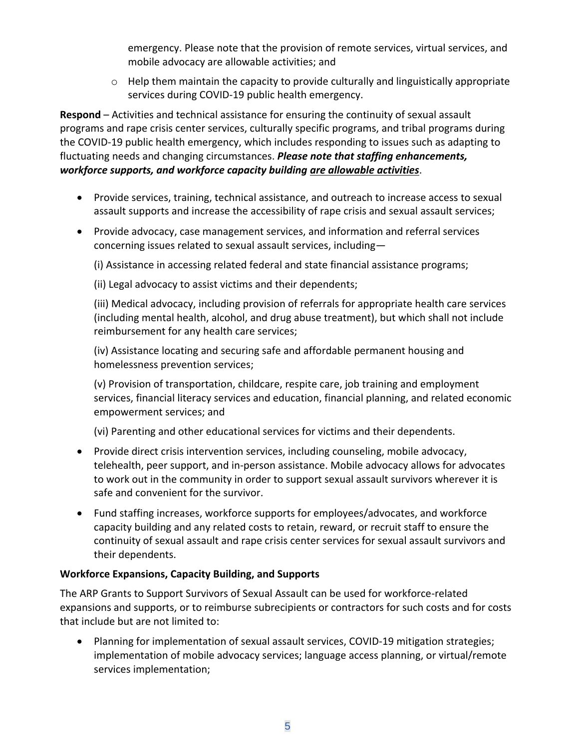emergency. Please note that the provision of remote services, virtual services, and mobile advocacy are allowable activities; and

 $\circ$  Help them maintain the capacity to provide culturally and linguistically appropriate services during COVID-19 public health emergency.

**Respond** – Activities and technical assistance for ensuring the continuity of sexual assault programs and rape crisis center services, culturally specific programs, and tribal programs during the COVID-19 public health emergency, which includes responding to issues such as adapting to fluctuating needs and changing circumstances. *Please note that staffing enhancements, workforce supports, and workforce capacity building are allowable activities*.

- Provide services, training, technical assistance, and outreach to increase access to sexual assault supports and increase the accessibility of rape crisis and sexual assault services;
- Provide advocacy, case management services, and information and referral services concerning issues related to sexual assault services, including—

(i) Assistance in accessing related federal and state financial assistance programs;

(ii) Legal advocacy to assist victims and their dependents;

(iii) Medical advocacy, including provision of referrals for appropriate health care services (including mental health, alcohol, and drug abuse treatment), but which shall not include reimbursement for any health care services;

(iv) Assistance locating and securing safe and affordable permanent housing and homelessness prevention services;

(v) Provision of transportation, childcare, respite care, job training and employment services, financial literacy services and education, financial planning, and related economic empowerment services; and

(vi) Parenting and other educational services for victims and their dependents.

- Provide direct crisis intervention services, including counseling, mobile advocacy, telehealth, peer support, and in-person assistance. Mobile advocacy allows for advocates to work out in the community in order to support sexual assault survivors wherever it is safe and convenient for the survivor.
- Fund staffing increases, workforce supports for employees/advocates, and workforce capacity building and any related costs to retain, reward, or recruit staff to ensure the continuity of sexual assault and rape crisis center services for sexual assault survivors and their dependents.

# **Workforce Expansions, Capacity Building, and Supports**

The ARP Grants to Support Survivors of Sexual Assault can be used for workforce-related expansions and supports, or to reimburse subrecipients or contractors for such costs and for costs that include but are not limited to:

• Planning for implementation of sexual assault services, COVID-19 mitigation strategies; implementation of mobile advocacy services; language access planning, or virtual/remote services implementation;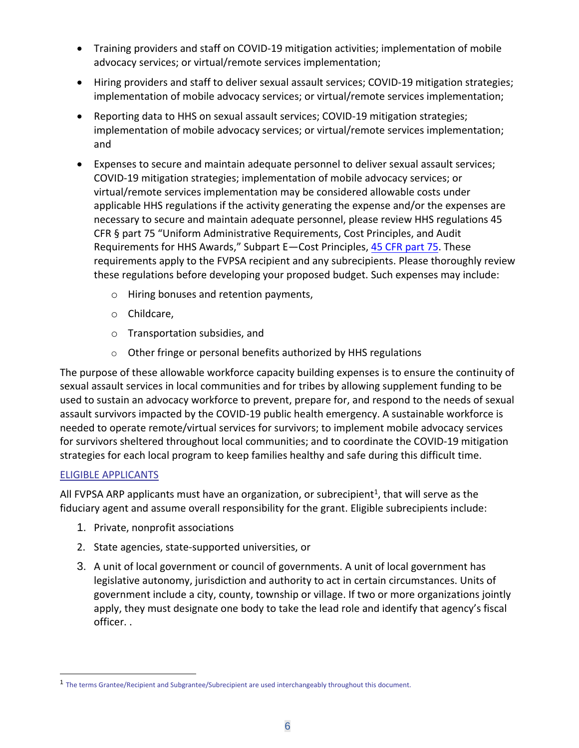- Training providers and staff on COVID-19 mitigation activities; implementation of mobile advocacy services; or virtual/remote services implementation;
- Hiring providers and staff to deliver sexual assault services; COVID-19 mitigation strategies; implementation of mobile advocacy services; or virtual/remote services implementation;
- Reporting data to HHS on sexual assault services; COVID-19 mitigation strategies; implementation of mobile advocacy services; or virtual/remote services implementation; and
- Expenses to secure and maintain adequate personnel to deliver sexual assault services; COVID-19 mitigation strategies; implementation of mobile advocacy services; or virtual/remote services implementation may be considered allowable costs under applicable HHS regulations if the activity generating the expense and/or the expenses are necessary to secure and maintain adequate personnel, please review HHS regulations 45 CFR § part 75 "Uniform Administrative Requirements, Cost Principles, and Audit Requirements for HHS Awards," Subpart E—Cost Principles, [45 CFR part 75.](https://www.ecfr.gov/current/title-45/subtitle-A/subchapter-A/part-75/subpart-E?toc=1) These requirements apply to the FVPSA recipient and any subrecipients. Please thoroughly review these regulations before developing your proposed budget. Such expenses may include:
	- o Hiring bonuses and retention payments,
	- o Childcare,
	- o Transportation subsidies, and
	- o Other fringe or personal benefits authorized by HHS regulations

The purpose of these allowable workforce capacity building expenses is to ensure the continuity of sexual assault services in local communities and for tribes by allowing supplement funding to be used to sustain an advocacy workforce to prevent, prepare for, and respond to the needs of sexual assault survivors impacted by the COVID-19 public health emergency. A sustainable workforce is needed to operate remote/virtual services for survivors; to implement mobile advocacy services for survivors sheltered throughout local communities; and to coordinate the COVID-19 mitigation strategies for each local program to keep families healthy and safe during this difficult time.

#### ELIGIBLE APPLICANTS

All FVPSA ARP applicants must have an organization, or subrecipient<sup>1</sup>, that will serve as the fiduciary agent and assume overall responsibility for the grant. Eligible subrecipients include:

- 1. Private, nonprofit associations
- 2. State agencies, state-supported universities, or
- 3. A unit of local government or council of governments. A unit of local government has legislative autonomy, jurisdiction and authority to act in certain circumstances. Units of government include a city, county, township or village. If two or more organizations jointly apply, they must designate one body to take the lead role and identify that agency's fiscal officer. .

<sup>&</sup>lt;sup>1</sup> The terms Grantee/Recipient and Subgrantee/Subrecipient are used interchangeably throughout this document.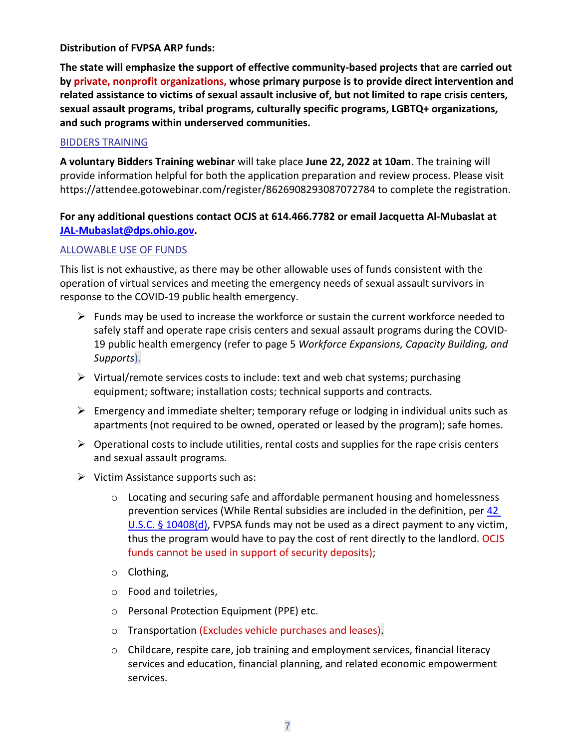#### **Distribution of FVPSA ARP funds:**

**The state will emphasize the support of effective community-based projects that are carried out by private, nonprofit organizations, whose primary purpose is to provide direct intervention and related assistance to victims of sexual assault inclusive of, but not limited to rape crisis centers, sexual assault programs, tribal programs, culturally specific programs, LGBTQ+ organizations, and such programs within underserved communities.** 

#### BIDDERS TRAINING

**A voluntary Bidders Training webinar** will take place **June 22, 2022 at 10am**. The training will provide information helpful for both the application preparation and review process. Please visit https://attendee.gotowebinar.com/register/8626908293087072784 to complete the registration.

#### **For any additional questions contact OCJS at 614.466.7782 or email Jacquetta Al-Mubaslat at [JAL-Mubaslat@dps.ohio.gov.](mailto:JAL-Mubaslat@dps.ohio.gov)**

#### ALLOWABLE USE OF FUNDS

This list is not exhaustive, as there may be other allowable uses of funds consistent with the operation of virtual services and meeting the emergency needs of sexual assault survivors in response to the COVID-19 public health emergency.

- $\triangleright$  Funds may be used to increase the workforce or sustain the current workforce needed to safely staff and operate rape crisis centers and sexual assault programs during the COVID-19 public health emergency (refer to page 5 *Workforce Expansions, Capacity Building, and Supports*).
- $\triangleright$  Virtual/remote services costs to include: text and web chat systems; purchasing equipment; software; installation costs; technical supports and contracts.
- $\triangleright$  Emergency and immediate shelter; temporary refuge or lodging in individual units such as apartments (not required to be owned, operated or leased by the program); safe homes.
- $\triangleright$  Operational costs to include utilities, rental costs and supplies for the rape crisis centers and sexual assault programs.
- ➢ Victim Assistance supports such as:
	- o Locating and securing safe and affordable permanent housing and homelessness prevention services (While Rental subsidies are included in the definition, per [42](https://www.govinfo.gov/content/pkg/USCODE-2017-title42/pdf/USCODE-2017-title42-chap110.pdf)  [U.S.C. § 10408\(d\),](https://www.govinfo.gov/content/pkg/USCODE-2017-title42/pdf/USCODE-2017-title42-chap110.pdf) FVPSA funds may not be used as a direct payment to any victim, thus the program would have to pay the cost of rent directly to the landlord. OCJS funds cannot be used in support of security deposits);
	- o Clothing,
	- o Food and toiletries,
	- o Personal Protection Equipment (PPE) etc.
	- o Transportation (Excludes vehicle purchases and leases).
	- $\circ$  Childcare, respite care, job training and employment services, financial literacy services and education, financial planning, and related economic empowerment services.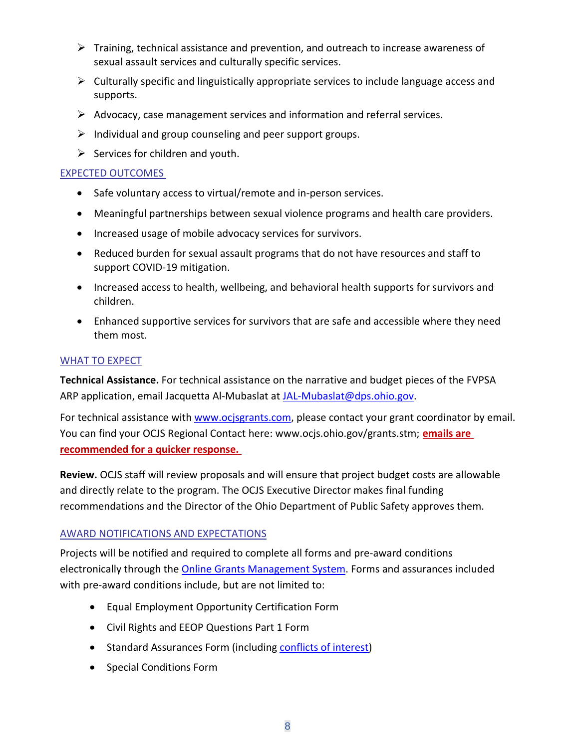- $\triangleright$  Training, technical assistance and prevention, and outreach to increase awareness of sexual assault services and culturally specific services.
- ➢ Culturally specific and linguistically appropriate services to include language access and supports.
- $\triangleright$  Advocacy, case management services and information and referral services.
- $\triangleright$  Individual and group counseling and peer support groups.
- $\triangleright$  Services for children and youth.

## EXPECTED OUTCOMES

- Safe voluntary access to virtual/remote and in-person services.
- Meaningful partnerships between sexual violence programs and health care providers.
- Increased usage of mobile advocacy services for survivors.
- Reduced burden for sexual assault programs that do not have resources and staff to support COVID-19 mitigation.
- Increased access to health, wellbeing, and behavioral health supports for survivors and children.
- Enhanced supportive services for survivors that are safe and accessible where they need them most.

# WHAT TO EXPECT

**Technical Assistance.** For technical assistance on the narrative and budget pieces of the FVPSA ARP application, email Jacquetta Al-Mubaslat at [JAL-Mubaslat@dps.ohio.gov.](mailto:JAL-Mubaslat@dps.ohio.gov)

For technical assistance with [www.ocjsgrants.com,](http://www.ocjsgrants.com/) please contact your grant coordinator by email. You can find your OCJS Regional Contact here: [www.ocjs.ohio.gov/grants.stm;](http://www.ocjs.ohio.gov/grants.stm) **emails are recommended for a quicker response.** 

**Review.** OCJS staff will review proposals and will ensure that project budget costs are allowable and directly relate to the program. The OCJS Executive Director makes final funding recommendations and the Director of the Ohio Department of Public Safety approves them.

# AWARD NOTIFICATIONS AND EXPECTATIONS

Projects will be notified and required to complete all forms and pre-award conditions electronically through the **Online Grants Management System**. Forms and assurances included with pre-award conditions include, but are not limited to:

- Equal Employment Opportunity Certification Form
- Civil Rights and EEOP Questions Part 1 Form
- Standard Assurances Form (including [conflicts of interest\)](https://ocjs.ohio.gov/links/ocjs_StandardAssurances.pdf)
- Special Conditions Form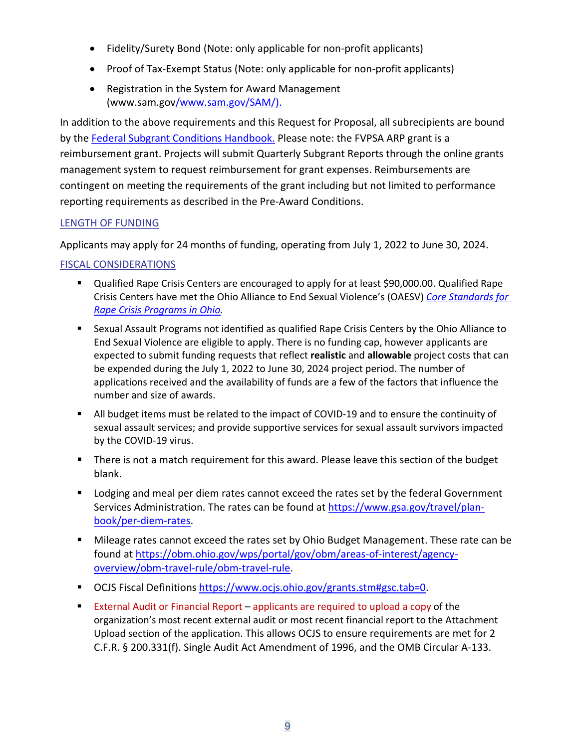- Fidelity/Surety Bond (Note: only applicable for non-profit applicants)
- Proof of Tax-Exempt Status (Note: only applicable for non-profit applicants)
- Registration in the System for Award Management (www.sam.gov[/www.sam.gov/SAM/\)](https://www.sam.gov/SAM/).

In addition to the above requirements and this Request for Proposal, all subrecipients are bound by the [Federal Subgrant Conditions Handbook.](https://www.ocjs.ohio.gov/Standard_Fed_Subgrant_Conditions.pdf) Please note: the FVPSA ARP grant is a reimbursement grant. Projects will submit Quarterly Subgrant Reports through the online grants management system to request reimbursement for grant expenses. Reimbursements are contingent on meeting the requirements of the grant including but not limited to performance reporting requirements as described in the Pre-Award Conditions.

#### LENGTH OF FUNDING

Applicants may apply for 24 months of funding, operating from July 1, 2022 to June 30, 2024.

#### FISCAL CONSIDERATIONS

- Qualified Rape Crisis Centers are encouraged to apply for at least \$90,000.00. Qualified Rape Crisis Centers have met the Ohio Alliance to End Sexual Violence's (OAESV) *[Core Standards for](https://oaesv.org/wp-content/uploads/2021/04/oaesv-core-standards-for-rape-crisis-programs-in-ohio-2016.pdf)  [Rape Crisis Programs in Ohio.](https://oaesv.org/wp-content/uploads/2021/04/oaesv-core-standards-for-rape-crisis-programs-in-ohio-2016.pdf)*
- Sexual Assault Programs not identified as qualified Rape Crisis Centers by the Ohio Alliance to End Sexual Violence are eligible to apply. There is no funding cap, however applicants are expected to submit funding requests that reflect **realistic** and **allowable** project costs that can be expended during the July 1, 2022 to June 30, 2024 project period. The number of applications received and the availability of funds are a few of the factors that influence the number and size of awards.
- All budget items must be related to the impact of COVID-19 and to ensure the continuity of sexual assault services; and provide supportive services for sexual assault survivors impacted by the COVID-19 virus.
- There is not a match requirement for this award. Please leave this section of the budget blank.
- Lodging and meal per diem rates cannot exceed the rates set by the federal Government Services Administration. The rates can be found at [https://www.gsa.gov/travel/plan](https://www.gsa.gov/travel/plan-book/per-diem-rates)[book/per-diem-rates.](https://www.gsa.gov/travel/plan-book/per-diem-rates)
- Mileage rates cannot exceed the rates set by Ohio Budget Management. These rate can be found at [https://obm.ohio.gov/wps/portal/gov/obm/areas-of-interest/agency](https://obm.ohio.gov/wps/portal/gov/obm/areas-of-interest/agency-overview/obm-travel-rule/obm-travel-rule)[overview/obm-travel-rule/obm-travel-rule.](https://obm.ohio.gov/wps/portal/gov/obm/areas-of-interest/agency-overview/obm-travel-rule/obm-travel-rule)
- OCJS Fiscal Definitions [https://www.ocjs.ohio.gov/grants.stm#gsc.tab=0.](https://www.ocjs.ohio.gov/grants.stm#gsc.tab=0)
- **External Audit or Financial Report applicants are required to upload a copy of the** organization's most recent external audit or most recent financial report to the Attachment Upload section of the application. This allows OCJS to ensure requirements are met for 2 C.F.R. § 200.331(f). Single Audit Act Amendment of 1996, and the OMB Circular A-133.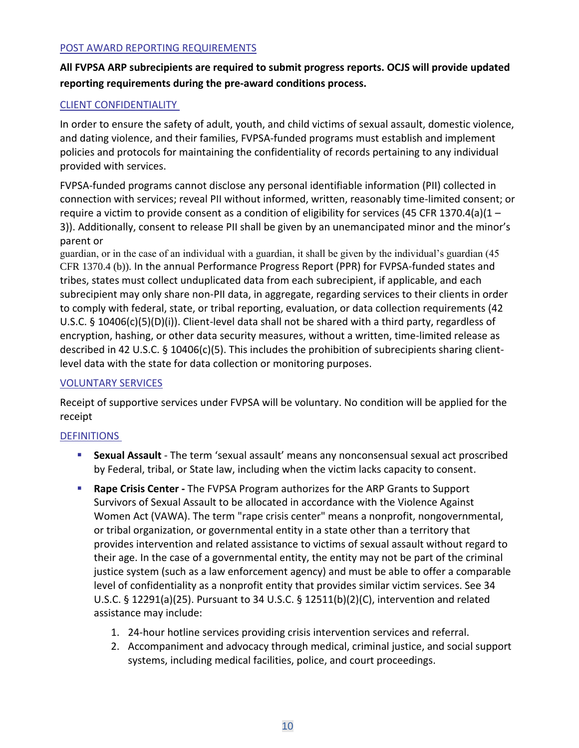#### POST AWARD REPORTING REQUIREMENTS

# **All FVPSA ARP subrecipients are required to submit progress reports. OCJS will provide updated reporting requirements during the pre-award conditions process.**

# CLIENT CONFIDENTIALITY

In order to ensure the safety of adult, youth, and child victims of sexual assault, domestic violence, and dating violence, and their families, FVPSA-funded programs must establish and implement policies and protocols for maintaining the confidentiality of records pertaining to any individual provided with services.

FVPSA-funded programs cannot disclose any personal identifiable information (PII) collected in connection with services; reveal PII without informed, written, reasonably time-limited consent; or require a victim to provide consent as a condition of eligibility for services (45 CFR 1370.4(a)(1 – 3)). Additionally, consent to release PII shall be given by an unemancipated minor and the minor's parent or

guardian, or in the case of an individual with a guardian, it shall be given by the individual's guardian (45 CFR 1370.4 (b)). In the annual Performance Progress Report (PPR) for FVPSA-funded states and tribes, states must collect unduplicated data from each subrecipient, if applicable, and each subrecipient may only share non-PII data, in aggregate, regarding services to their clients in order to comply with federal, state, or tribal reporting, evaluation, or data collection requirements (42 U.S.C. § 10406(c)(5)(D)(i)). Client-level data shall not be shared with a third party, regardless of encryption, hashing, or other data security measures, without a written, time-limited release as described in 42 U.S.C. § 10406(c)(5). This includes the prohibition of subrecipients sharing clientlevel data with the state for data collection or monitoring purposes.

#### VOLUNTARY SERVICES

Receipt of supportive services under FVPSA will be voluntary. No condition will be applied for the receipt

# DEFINITIONS

- **EXALUA Assault** The term 'sexual assault' means any nonconsensual sexual act proscribed by Federal, tribal, or State law, including when the victim lacks capacity to consent.
- **Rape Crisis Center -** The FVPSA Program authorizes for the ARP Grants to Support Survivors of Sexual Assault to be allocated in accordance with the Violence Against Women Act (VAWA). The term "rape crisis center" means a nonprofit, nongovernmental, or tribal organization, or governmental entity in a state other than a territory that provides intervention and related assistance to victims of sexual assault without regard to their age. In the case of a governmental entity, the entity may not be part of the criminal justice system (such as a law enforcement agency) and must be able to offer a comparable level of confidentiality as a nonprofit entity that provides similar victim services. See 34 U.S.C. § 12291(a)(25). Pursuant to 34 U.S.C. § 12511(b)(2)(C), intervention and related assistance may include:
	- 1. 24-hour hotline services providing crisis intervention services and referral.
	- 2. Accompaniment and advocacy through medical, criminal justice, and social support systems, including medical facilities, police, and court proceedings.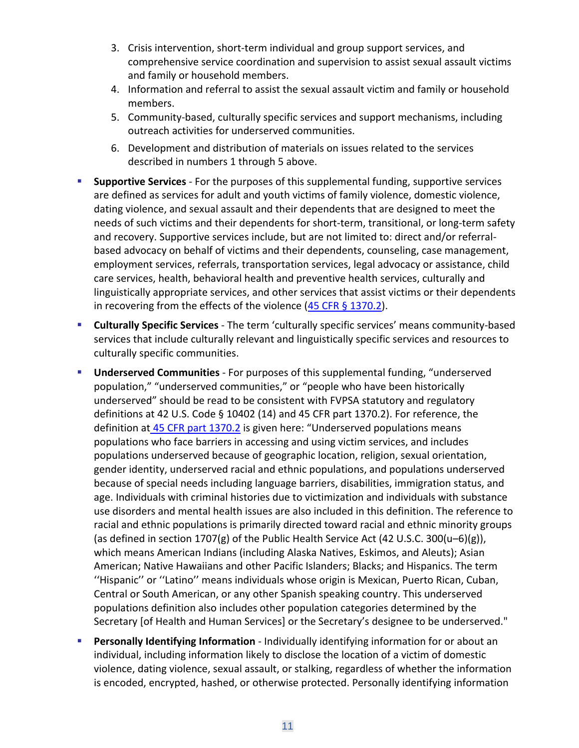- 3. Crisis intervention, short-term individual and group support services, and comprehensive service coordination and supervision to assist sexual assault victims and family or household members.
- 4. Information and referral to assist the sexual assault victim and family or household members.
- 5. Community-based, culturally specific services and support mechanisms, including outreach activities for underserved communities.
- 6. Development and distribution of materials on issues related to the services described in numbers 1 through 5 above.
- **Supportive Services** For the purposes of this supplemental funding, supportive services are defined as services for adult and youth victims of family violence, domestic violence, dating violence, and sexual assault and their dependents that are designed to meet the needs of such victims and their dependents for short-term, transitional, or long-term safety and recovery. Supportive services include, but are not limited to: direct and/or referralbased advocacy on behalf of victims and their dependents, counseling, case management, employment services, referrals, transportation services, legal advocacy or assistance, child care services, health, behavioral health and preventive health services, culturally and linguistically appropriate services, and other services that assist victims or their dependents in recovering from the effects of the violence  $(45$  CFR § 1370.2).
- **Culturally Specific Services** The term 'culturally specific services' means community-based services that include culturally relevant and linguistically specific services and resources to culturally specific communities.
- **Underserved Communities** For purposes of this supplemental funding, "underserved population," "underserved communities," or "people who have been historically underserved" should be read to be consistent with FVPSA statutory and regulatory definitions at 42 U.S. Code § 10402 (14) and 45 CFR part 1370.2). For reference, the definition at [45 CFR part 1370.2](https://www.ecfr.gov/current/title-45/subtitle-B/chapter-XIII/subchapter-H/part-1370/subpart-A/section-1370.2) is given here: "Underserved populations means populations who face barriers in accessing and using victim services, and includes populations underserved because of geographic location, religion, sexual orientation, gender identity, underserved racial and ethnic populations, and populations underserved because of special needs including language barriers, disabilities, immigration status, and age. Individuals with criminal histories due to victimization and individuals with substance use disorders and mental health issues are also included in this definition. The reference to racial and ethnic populations is primarily directed toward racial and ethnic minority groups (as defined in section 1707(g) of the Public Health Service Act (42 U.S.C. 300(u–6)(g)), which means American Indians (including Alaska Natives, Eskimos, and Aleuts); Asian American; Native Hawaiians and other Pacific Islanders; Blacks; and Hispanics. The term ''Hispanic'' or ''Latino'' means individuals whose origin is Mexican, Puerto Rican, Cuban, Central or South American, or any other Spanish speaking country. This underserved populations definition also includes other population categories determined by the Secretary [of Health and Human Services] or the Secretary's designee to be underserved."
- **Personally Identifying Information** Individually identifying information for or about an individual, including information likely to disclose the location of a victim of domestic violence, dating violence, sexual assault, or stalking, regardless of whether the information is encoded, encrypted, hashed, or otherwise protected. Personally identifying information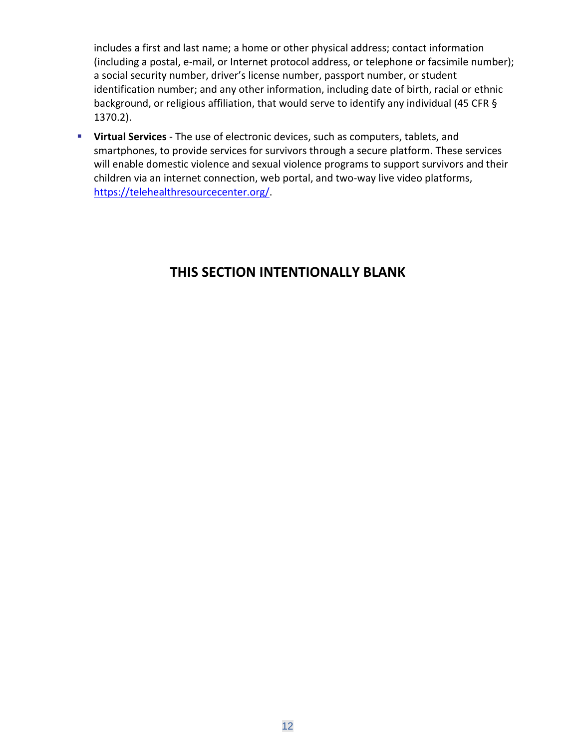includes a first and last name; a home or other physical address; contact information (including a postal, e-mail, or Internet protocol address, or telephone or facsimile number); a social security number, driver's license number, passport number, or student identification number; and any other information, including date of birth, racial or ethnic background, or religious affiliation, that would serve to identify any individual (45 CFR § 1370.2).

▪ **Virtual Services** - The use of electronic devices, such as computers, tablets, and smartphones, to provide services for survivors through a secure platform. These services will enable domestic violence and sexual violence programs to support survivors and their children via an internet connection, web portal, and two-way live video platforms, [https://telehealthresourcecenter.org/.](https://telehealthresourcecenter.org/)

# **THIS SECTION INTENTIONALLY BLANK**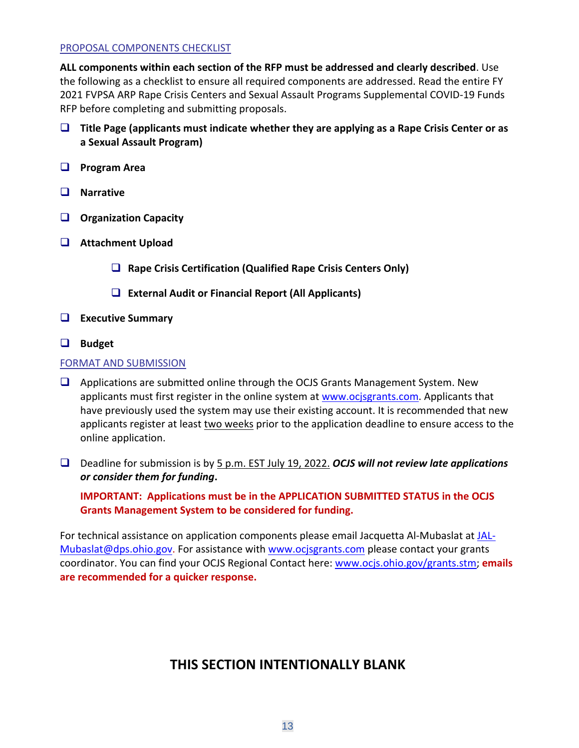#### PROPOSAL COMPONENTS CHECKLIST

**ALL components within each section of the RFP must be addressed and clearly described**. Use the following as a checklist to ensure all required components are addressed. Read the entire FY 2021 FVPSA ARP Rape Crisis Centers and Sexual Assault Programs Supplemental COVID-19 Funds RFP before completing and submitting proposals.

- ❑ **Title Page (applicants must indicate whether they are applying as a Rape Crisis Center or as a Sexual Assault Program)**
- ❑ **Program Area**
- ❑ **Narrative**
- ❑ **Organization Capacity**
- ❑ **Attachment Upload**
	- ❑ **Rape Crisis Certification (Qualified Rape Crisis Centers Only)**
	- ❑ **External Audit or Financial Report (All Applicants)**
- ❑ **Executive Summary**
- ❑ **Budget**

#### FORMAT AND SUBMISSION

- ❑ Applications are submitted online through the OCJS Grants Management System. New applicants must first register in the online system at [www.ocjsgrants.com.](http://www.ocjsgrants.com/) Applicants that have previously used the system may use their existing account. It is recommended that new applicants register at least two weeks prior to the application deadline to ensure access to the online application.
- ❑ Deadline for submission is by 5 p.m. EST July 19, 2022. *OCJS will not review late applications or consider them for funding***.**

**IMPORTANT: Applications must be in the APPLICATION SUBMITTED STATUS in the OCJS Grants Management System to be considered for funding.**

For technical assistance on application components please email Jacquetta Al-Mubaslat at [JAL-](mailto:JAL-Mubaslat@dps.ohio.gov)[Mubaslat@dps.ohio.gov.](mailto:JAL-Mubaslat@dps.ohio.gov) For assistance with [www.ocjsgrants.com](http://www.ocjsgrants.com/) please contact your grants coordinator. You can find your OCJS Regional Contact here: [www.ocjs.ohio.gov/grants.stm;](http://www.ocjs.ohio.gov/grants.stm) **emails are recommended for a quicker response.**

# **THIS SECTION INTENTIONALLY BLANK**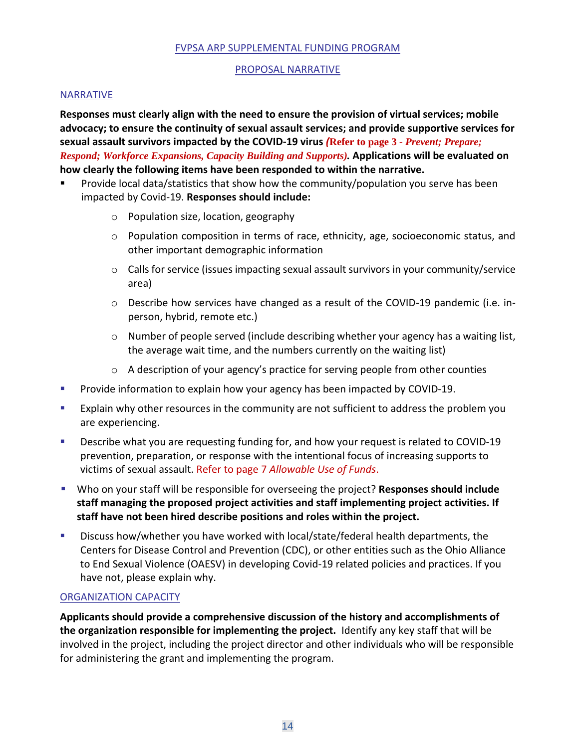#### FVPSA ARP SUPPLEMENTAL FUNDING PROGRAM

#### PROPOSAL NARRATIVE

#### NARRATIVE

**Responses must clearly align with the need to ensure the provision of virtual services; mobile advocacy; to ensure the continuity of sexual assault services; and provide supportive services for sexual assault survivors impacted by the COVID-19 virus** *(***Refer to page 3** *- Prevent; Prepare; Respond; Workforce Expansions, Capacity Building and Supports).* **Applications will be evaluated on how clearly the following items have been responded to within the narrative.** 

- Provide local data/statistics that show how the community/population you serve has been impacted by Covid-19. **Responses should include:**
	- o Population size, location, geography
	- o Population composition in terms of race, ethnicity, age, socioeconomic status, and other important demographic information
	- o Calls for service (issues impacting sexual assault survivors in your community/service area)
	- o Describe how services have changed as a result of the COVID-19 pandemic (i.e. inperson, hybrid, remote etc.)
	- $\circ$  Number of people served (include describing whether your agency has a waiting list, the average wait time, and the numbers currently on the waiting list)
	- o A description of your agency's practice for serving people from other counties
- Provide information to explain how your agency has been impacted by COVID-19.
- **EXPLA** Explain why other resources in the community are not sufficient to address the problem you are experiencing.
- Describe what you are requesting funding for, and how your request is related to COVID-19 prevention, preparation, or response with the intentional focus of increasing supports to victims of sexual assault. Refer to page 7 *Allowable Use of Funds*.
- Who on your staff will be responsible for overseeing the project? **Responses should include staff managing the proposed project activities and staff implementing project activities. If staff have not been hired describe positions and roles within the project.**
- **E** Discuss how/whether you have worked with local/state/federal health departments, the Centers for Disease Control and Prevention (CDC), or other entities such as the Ohio Alliance to End Sexual Violence (OAESV) in developing Covid-19 related policies and practices. If you have not, please explain why.

#### ORGANIZATION CAPACITY

**Applicants should provide a comprehensive discussion of the history and accomplishments of the organization responsible for implementing the project.** Identify any key staff that will be involved in the project, including the project director and other individuals who will be responsible for administering the grant and implementing the program.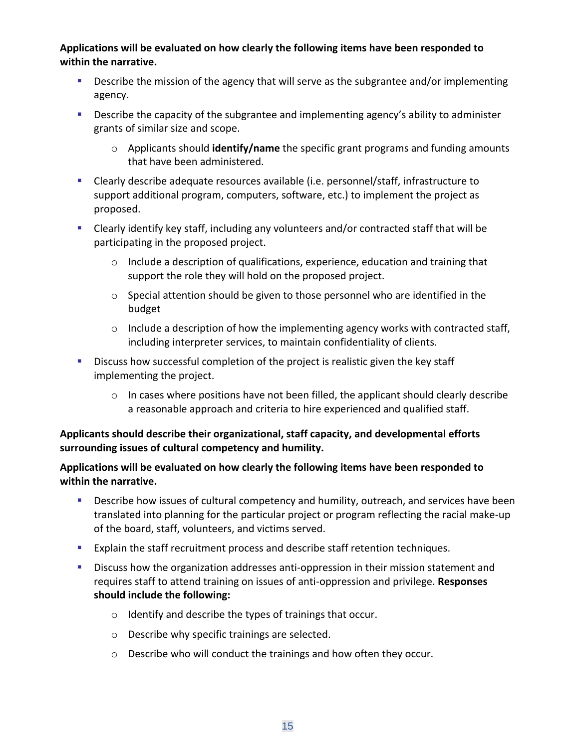**Applications will be evaluated on how clearly the following items have been responded to within the narrative.**

- **EXECT** Describe the mission of the agency that will serve as the subgrantee and/or implementing agency.
- **•** Describe the capacity of the subgrantee and implementing agency's ability to administer grants of similar size and scope.
	- o Applicants should **identify/name** the specific grant programs and funding amounts that have been administered.
- Clearly describe adequate resources available (i.e. personnel/staff, infrastructure to support additional program, computers, software, etc.) to implement the project as proposed.
- Clearly identify key staff, including any volunteers and/or contracted staff that will be participating in the proposed project.
	- $\circ$  Include a description of qualifications, experience, education and training that support the role they will hold on the proposed project.
	- o Special attention should be given to those personnel who are identified in the budget
	- $\circ$  Include a description of how the implementing agency works with contracted staff, including interpreter services, to maintain confidentiality of clients.
- **EXED** Discuss how successful completion of the project is realistic given the key staff implementing the project.
	- $\circ$  In cases where positions have not been filled, the applicant should clearly describe a reasonable approach and criteria to hire experienced and qualified staff.

# **Applicants should describe their organizational, staff capacity, and developmental efforts surrounding issues of cultural competency and humility.**

# **Applications will be evaluated on how clearly the following items have been responded to within the narrative.**

- **EXECT** Describe how issues of cultural competency and humility, outreach, and services have been translated into planning for the particular project or program reflecting the racial make-up of the board, staff, volunteers, and victims served.
- **Explain the staff recruitment process and describe staff retention techniques.**
- **■** Discuss how the organization addresses anti-oppression in their mission statement and requires staff to attend training on issues of anti-oppression and privilege. **Responses should include the following:**
	- o Identify and describe the types of trainings that occur.
	- o Describe why specific trainings are selected.
	- o Describe who will conduct the trainings and how often they occur.